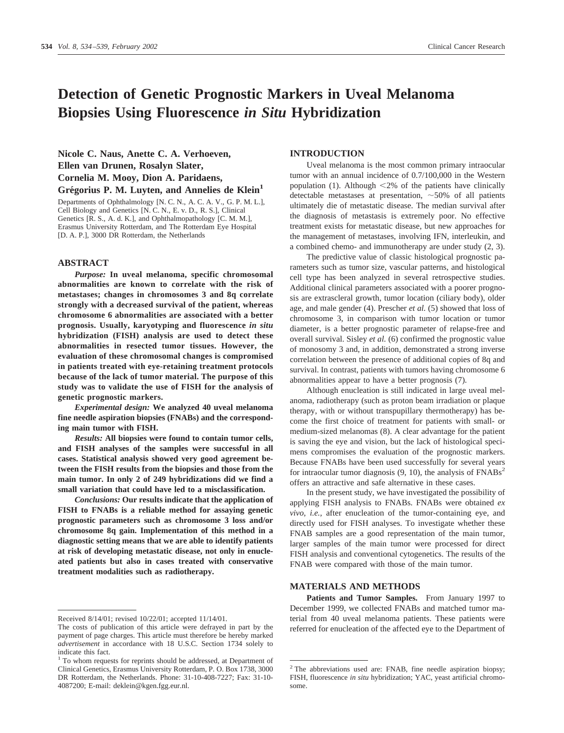# **Detection of Genetic Prognostic Markers in Uveal Melanoma Biopsies Using Fluorescence** *in Situ* **Hybridization**

**Nicole C. Naus, Anette C. A. Verhoeven, Ellen van Drunen, Rosalyn Slater, Cornelia M. Mooy, Dion A. Paridaens,** Grégorius P. M. Luyten, and Annelies de Klein<sup>1</sup>

Departments of Ophthalmology [N. C. N., A. C. A. V., G. P. M. L.], Cell Biology and Genetics [N. C. N., E. v. D., R. S.], Clinical Genetics [R. S., A. d. K.], and Ophthalmopathology [C. M. M.], Erasmus University Rotterdam, and The Rotterdam Eye Hospital [D. A. P.], 3000 DR Rotterdam, the Netherlands

## **ABSTRACT**

*Purpose:* **In uveal melanoma, specific chromosomal abnormalities are known to correlate with the risk of metastases; changes in chromosomes 3 and 8q correlate strongly with a decreased survival of the patient, whereas chromosome 6 abnormalities are associated with a better prognosis. Usually, karyotyping and fluorescence** *in situ* **hybridization (FISH) analysis are used to detect these abnormalities in resected tumor tissues. However, the evaluation of these chromosomal changes is compromised in patients treated with eye-retaining treatment protocols because of the lack of tumor material. The purpose of this study was to validate the use of FISH for the analysis of genetic prognostic markers.**

*Experimental design:* **We analyzed 40 uveal melanoma fine needle aspiration biopsies (FNABs) and the corresponding main tumor with FISH.**

*Results:* **All biopsies were found to contain tumor cells, and FISH analyses of the samples were successful in all cases. Statistical analysis showed very good agreement between the FISH results from the biopsies and those from the main tumor. In only 2 of 249 hybridizations did we find a small variation that could have led to a misclassification.**

*Conclusions:* **Our results indicate that the application of FISH to FNABs is a reliable method for assaying genetic prognostic parameters such as chromosome 3 loss and/or chromosome 8q gain. Implementation of this method in a diagnostic setting means that we are able to identify patients at risk of developing metastatic disease, not only in enucleated patients but also in cases treated with conservative treatment modalities such as radiotherapy.**

#### **INTRODUCTION**

Uveal melanoma is the most common primary intraocular tumor with an annual incidence of 0.7/100,000 in the Western population (1). Although  $\leq 2\%$  of the patients have clinically detectable metastases at presentation,  $\sim$  50% of all patients ultimately die of metastatic disease. The median survival after the diagnosis of metastasis is extremely poor. No effective treatment exists for metastatic disease, but new approaches for the management of metastases, involving IFN, interleukin, and a combined chemo- and immunotherapy are under study (2, 3).

The predictive value of classic histological prognostic parameters such as tumor size, vascular patterns, and histological cell type has been analyzed in several retrospective studies. Additional clinical parameters associated with a poorer prognosis are extrascleral growth, tumor location (ciliary body), older age, and male gender (4). Prescher *et al.* (5) showed that loss of chromosome 3, in comparison with tumor location or tumor diameter, is a better prognostic parameter of relapse-free and overall survival. Sisley *et al.* (6) confirmed the prognostic value of monosomy 3 and, in addition, demonstrated a strong inverse correlation between the presence of additional copies of 8q and survival. In contrast, patients with tumors having chromosome 6 abnormalities appear to have a better prognosis (7).

Although enucleation is still indicated in large uveal melanoma, radiotherapy (such as proton beam irradiation or plaque therapy, with or without transpupillary thermotherapy) has become the first choice of treatment for patients with small- or medium-sized melanomas (8). A clear advantage for the patient is saving the eye and vision, but the lack of histological specimens compromises the evaluation of the prognostic markers. Because FNABs have been used successfully for several years for intraocular tumor diagnosis  $(9, 10)$ , the analysis of  $\text{FNABs}^2$ offers an attractive and safe alternative in these cases.

In the present study, we have investigated the possibility of applying FISH analysis to FNABs. FNABs were obtained *ex vivo*, *i.e.,* after enucleation of the tumor-containing eye, and directly used for FISH analyses. To investigate whether these FNAB samples are a good representation of the main tumor, larger samples of the main tumor were processed for direct FISH analysis and conventional cytogenetics. The results of the FNAB were compared with those of the main tumor.

## **MATERIALS AND METHODS**

Patients and Tumor Samples. From January 1997 to December 1999, we collected FNABs and matched tumor material from 40 uveal melanoma patients. These patients were referred for enucleation of the affected eye to the Department of

Received 8/14/01; revised 10/22/01; accepted 11/14/01.

The costs of publication of this article were defrayed in part by the payment of page charges. This article must therefore be hereby marked *advertisement* in accordance with 18 U.S.C. Section 1734 solely to indicate this fact.

<sup>&</sup>lt;sup>1</sup> To whom requests for reprints should be addressed, at Department of Clinical Genetics, Erasmus University Rotterdam, P. O. Box 1738, 3000 DR Rotterdam, the Netherlands. Phone: 31-10-408-7227; Fax: 31-10- 4087200; E-mail: deklein@kgen.fgg.eur.nl.

<sup>&</sup>lt;sup>2</sup> The abbreviations used are: FNAB, fine needle aspiration biopsy; FISH, fluorescence *in situ* hybridization; YAC, yeast artificial chromosome.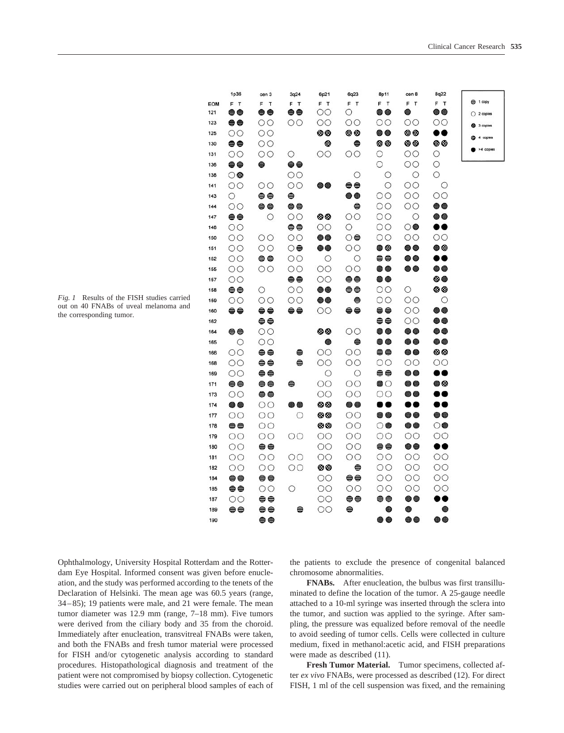coles

| 1p36               | cen 3              | 3q24               | 6p21             | 6q23                         | 8p11                           | cen 8                    | <b>8q22</b>                 |              |
|--------------------|--------------------|--------------------|------------------|------------------------------|--------------------------------|--------------------------|-----------------------------|--------------|
| F T                | F T                | F T                | F T              | F T                          | F T                            | F T                      | F T                         | $91$ copy    |
| ⊖⊖                 | ⊜⊜                 | ⊜⊜                 | $\circ$          | О                            | ● ●                            | ◉                        | ● ●                         | $O$ 2 copies |
| ⊖⊖                 | $\circ$            | $\circ$            | $\circ$          | OΟ                           | $\circ$<br>$\bullet$ $\bullet$ | ΟO<br>00                 | OO<br>                      | 3 copies     |
| $\circ$<br>⊜⊜      | $\circ$<br>$\circ$ |                    | 00<br>٥          | 00<br>$\qquad \qquad \oplus$ | ⊗⊗                             | 00                       | 00                          | 4 copies     |
| $\circ$            | $\circ$            | O                  | $\circ$          | OO                           | О                              | OO                       | О                           | >4 copie     |
| $\bullet\bullet$   | ⊜                  | ⊖⊖                 |                  |                              | O                              | $\circ$                  | О                           |              |
| ்                  |                    | $\circ$            |                  | $\circ$                      | O                              | $\circ$                  | $\circ$                     |              |
| $\circ$            | $\circ$            | $\circ$            | 00               | ⊖⊖                           | $\circ$                        | $\overline{O}O$          | О                           |              |
| $\circ$            | ⊜⊜                 | ⊜                  |                  | $\bullet\bullet$             | $\circ$                        | $\circ$                  | $\circ$                     |              |
| $\circ$            | $\oplus$           | ⊜⊜                 |                  | ⊜                            | $\circ$                        | $\circ$                  | $\bullet\bullet$            |              |
| e                  | $\circ$            | $\circ$            | 00               | $\overline{O}O$              | $\circ$                        | $\circ$                  | $\bullet\bullet$            |              |
| $\circ$            |                    | $\oplus$           | $\circ$          | $\circ$                      | $\circ$                        | $\circledcirc$           |                             |              |
| $\circ$            | $\circ$            | $\circ$            | $\bullet\bullet$ | $\circledcirc$               | $\circ$                        | $\circ$                  | $\circ$                     |              |
| $\circ$            | $\circ$            | ⊙⊜                 | ●●               | $\circ$                      | ● ◎                            | $\bullet\bullet$         | ●◎                          |              |
| $\circ$            | $\oplus$           | $\circ$            | $\circ$          | $\circ$                      | ⊖⊖                             | ●●                       |                             |              |
| $\circ$            | $\circ$            | $\circ$            | $\circ$          | $\circ$                      | ● ●                            | …                        | ● ●                         |              |
| $\circ$            |                    | e                  | $\circ$          | ⊖⊖                           | ……                             |                          | ……                          |              |
| ⊖⊖                 | O                  | $\circ$            | $\bullet\bullet$ | ⊖⊖                           | OO                             | $\circ$                  | 00                          |              |
| $\circ$<br>⊜⊜      | $\circ$<br>e e     | $\circ$<br>⊜⊜      | <br>$\circ$      | $\oplus$<br>⊖⊖               | $\circ$<br>⊜⊜                  | $\circ \circ$<br>$\circ$ | $\circ$<br>$\bullet\bullet$ |              |
|                    | ⊜⊜                 |                    |                  |                              | ⊜⊜                             | $\circ$                  | ● ●                         |              |
| ⊜⊜                 | $\circ$            |                    | ⊛⊛               | $\circ$                      | ● ●                            | $\bullet\bullet$         | $\bullet$                   |              |
| $\circ$            | $\circ$            |                    | ◉                | ⊜                            | $\bullet\bullet$               | $\bullet\bullet$         | $\bullet\bullet$            |              |
| $\circ$            | ⊜⊜                 | ⊜                  | $\circ$          | $\circ$                      | $\oplus$                       | $\bullet\bullet$         | 00                          |              |
| $\circ$            | ⊖⊖                 | ⊜                  | $\circ$          | $\circ$                      | $\circ$                        | $\circ$                  | $\circ$                     |              |
| $\circ$            | $\bullet$          |                    | $\circ$          | O                            | ⊜⊜                             | $\bullet\bullet$         |                             |              |
| ⊖⊖                 | $\oplus$           | ⊜                  | $\circ$          | $\circ$                      | $\bullet$                      | ● ●                      | 80                          |              |
| $\circ$            | ⊜⊜                 |                    | $\circ$          | OO                           | $\circ$                        | ● ●                      |                             |              |
| $\bullet\bullet$   | $\circ$            | $\bullet\bullet$   | ೲ                | $\bullet$                    |                                |                          | ♥●                          |              |
| $\circ$            | $\circ$            | $\circ$            | 00               | $\circ$                      | $\bullet\bullet$               | $\bullet\bullet$         | $\bullet\bullet$            |              |
| ⊖⊖                 | $\circ$            |                    | 00               | $\circ$                      | 0●                             | ……                       | 00                          |              |
| $\circ$            | $\circ$            | $\circ$            | $\circ$          | $\circ$                      | $\circ$                        | $\circ$                  | $\circ$                     |              |
| $\circ \circ$      | $\oplus$           |                    | $\circ \circ$    | $\circ$                      | ⊜⊜                             | $\bullet\bullet$         | $\bullet\bullet$            |              |
| $\circ$<br>$\circ$ | $\circ$<br>$\circ$ | $\circ$<br>$\circ$ | $\circ$<br>00    | $\circ$<br>⊜                 | $\circ$<br>$\circ$             | $\circ$<br>$\circ$       | $\circ$<br>$\circ$          |              |
| ⊜⊜                 | ⊜⊜                 |                    | OO               | ⊖⊖                           | $\circ$                        | $\circ$                  | $\circ$                     |              |
| ⊖⊖                 | $\circ$            | $\circ$            | $\circ$          | $\circ$                      | $\circ$                        | $\circ$                  | $\circ$                     |              |
| $\circ$            | $\oplus$           |                    | $\circ$          | $\oplus$                     | $\oplus$                       | $\bullet\bullet$         | D O                         |              |
| ee                 | $\oplus$           | ⊜                  | $\circ$          | ⊜                            | $\bullet$                      | ●                        | $\bullet$                   |              |
|                    |                    |                    |                  |                              |                                |                          |                             |              |

*Fig. 1* Results of the FISH studies carried out on 40 FNABs of uveal melanoma and the corresponding tumor.

**EOM**  $121$ 

123

125

Ophthalmology, University Hospital Rotterdam and the Rotterdam Eye Hospital. Informed consent was given before enucleation, and the study was performed according to the tenets of the Declaration of Helsinki. The mean age was 60.5 years (range, 34–85); 19 patients were male, and 21 were female. The mean tumor diameter was 12.9 mm (range, 7–18 mm). Five tumors were derived from the ciliary body and 35 from the choroid. Immediately after enucleation, transvitreal FNABs were taken, and both the FNABs and fresh tumor material were processed for FISH and/or cytogenetic analysis according to standard procedures. Histopathological diagnosis and treatment of the patient were not compromised by biopsy collection. Cytogenetic studies were carried out on peripheral blood samples of each of

190

≘≘

the patients to exclude the presence of congenital balanced chromosome abnormalities.

@ @

**FNABs.** After enucleation, the bulbus was first transilluminated to define the location of the tumor. A 25-gauge needle attached to a 10-ml syringe was inserted through the sclera into the tumor, and suction was applied to the syringe. After sampling, the pressure was equalized before removal of the needle to avoid seeding of tumor cells. Cells were collected in culture medium, fixed in methanol:acetic acid, and FISH preparations were made as described (11).

**Fresh Tumor Material.** Tumor specimens, collected after *ex vivo* FNABs, were processed as described (12). For direct FISH, 1 ml of the cell suspension was fixed, and the remaining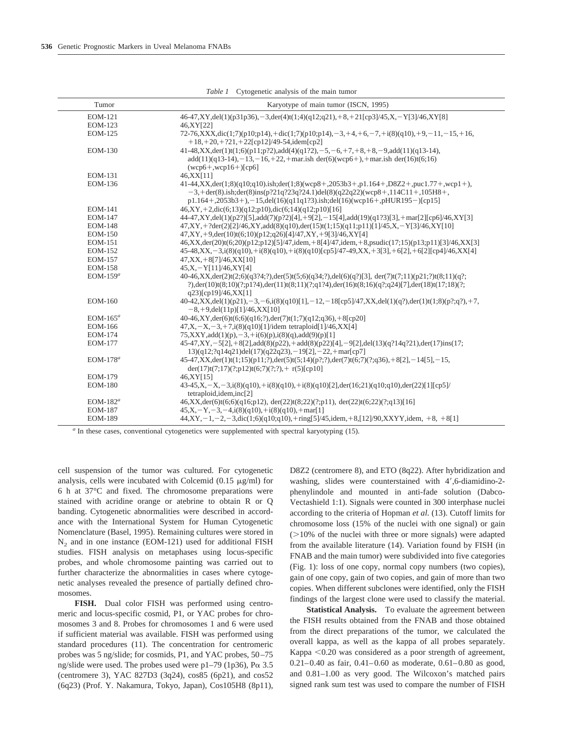| Tumor          | Karyotype of main tumor (ISCN, 1995)                                                                                                                                                                                                                                                       |
|----------------|--------------------------------------------------------------------------------------------------------------------------------------------------------------------------------------------------------------------------------------------------------------------------------------------|
| <b>EOM-121</b> | $46-47, XY, del(1)(p31p36), -3, der(4)t(1;4)(q12;q21), +8, +21[cp3]/45, X, -Y[3]/46, XY[8]$                                                                                                                                                                                                |
| <b>EOM-123</b> | 46, XY [22]                                                                                                                                                                                                                                                                                |
| <b>EOM-125</b> | $72-76, XXX, dic(1;7)(p10;p14), +dic(1;7)(p10;p14), -3, +4, +6, -7, +i(8)(q10), +9, -11, -15, +16,$<br>$+18, +20, +221, +22$ [cp12]/49-54,idem[cp2]                                                                                                                                        |
| <b>EOM-130</b> | $41-48, XX, der(1)t(1;6)(p11;p?2), add(4)(q1?2), -5, -6, +7, +8, +8, -9, add(11)(q13-14),$<br>$add(11)(q13-14), -13, -16, +22, +\text{mar.ish der}(6)(wcp6+), +\text{mar.ish der}(16)t(6;16)$<br>$(wcp6+, wcp16+) [cp6]$                                                                   |
| <b>EOM-131</b> | 46, XX [11]                                                                                                                                                                                                                                                                                |
| <b>EOM-136</b> | $41-44, XX, der(1,8)(q10;q10).ish; der(1,8)(wcp8+,2053b3+,p1.164+,D8Z2+,puc1.77+,wcp1+),$<br>$-3$ , + der(8).ish; der(8)ins(p?21q?23q?24.1)del(8)(q22q22)(wcp8+,114C11+,105H8+,<br>$p1.164 + 0.2053b3 + 0. - 15$ , del(16)(q11q1?3).ish; del(16)(wcp16+, pHUR195-)[cp15]                   |
| <b>EOM-141</b> | $46, XY, +2, dic(6; 13)(q12; p10), dic(6; 14)(q12; p10)[16]$                                                                                                                                                                                                                               |
| <b>EOM-147</b> | 44-47,XY,del(1)(p2?)[5],add(7)(p?2)[4],+9[2],-15[4],add(19)(q1?3)[3],+mar[2][cp6]/46,XY[3]                                                                                                                                                                                                 |
| <b>EOM-148</b> | $47, XY, +?der(2)[2]/46, XY, add(8)(q10), der(15)t(1;15)(q11;p11)[1]/45, X, -Y[3]/46, XY[10]$                                                                                                                                                                                              |
| <b>EOM-150</b> | $47, XY, +9, der(10)t(6;10)(p12;q26)[4]/47, XY, +9[3]/46, XY[4]$                                                                                                                                                                                                                           |
| <b>EOM-151</b> | $46, XX, der(20)(6;20)(p12;p12)[5]/47$ , idem, $+8[4]/47$ , idem, $+8$ , psudic $(17;15)(p13;p11)[3]/46, XX[3]$                                                                                                                                                                            |
| <b>EOM-152</b> | $45-48, XX, -3, i(8)(q10), +i(8)(q10), +i(8)(q10)[cp5]/47-49, XX, +3[3], +6[2], +6[2][cp4]/46, XX[4]$                                                                                                                                                                                      |
| <b>EOM-157</b> | $47, XX, +8[7]/46, XX[10]$                                                                                                                                                                                                                                                                 |
| <b>EOM-158</b> | $45, X, -Y[11]/46, XY[4]$                                                                                                                                                                                                                                                                  |
| EOM-159 $a$    | $40-46$ , $XX$ , $der(2)t(2;6)(q3;24;?)$ , $der(5)t(5;6)(q34;?)$ , $del(6)(q?)$ [3], $der(7)t(7;11)(p21;2)t(8;11)(q?$ ;<br>?), $\text{der}(10)t(8;10)(?;p1?4)$ , $\text{der}(11)t(8;11)(?;q1?4)$ , $\text{der}(16)t(8;16)(q?;q24)[7]$ , $\text{der}(18)t(17;18)(?;$<br>q23)[cp19]/46,XX[1] |
| <b>EOM-160</b> | $40-42, XX, del(1)(p21), -3, -6, i(8)(q10)[1], -12, -18[cp5]/47, XX, del(1)(q?)$ , der(1)t(1;8)(p?;q?), +7,<br>$-8, +9$ , del $(11p)$ [1]/46, XX[10]                                                                                                                                       |
| $EOM-165^a$    | $40-46, XY, der(6)t(6;6)(q16;?)der(7)t(1;7)(q12;q36)$ , +8[cp20]                                                                                                                                                                                                                           |
| <b>EOM-166</b> | $47, X, -X, -3, +7, i(8)(q10)[1]$ /idem tetraploid $[1]/46, XX[4]$                                                                                                                                                                                                                         |
| <b>EOM-174</b> | $75, XXXY, add(1)(p), -3, +i(6)(p), i(8)(q), add(9)(p)[1]$                                                                                                                                                                                                                                 |
| <b>EOM-177</b> | $45-47, XY, -5[2], +8[2], add(8)(p22), +add(8)(p22)[4], -9[2], del(13)(q?14q?21), der(17)ins(17;$<br>$13)(q12; ?q14q21)$ del $(17)(q22q23)$ , -19[2], -22, +mar[cp7]                                                                                                                       |
| $EOM-178^a$    | 45-47, XX, der(1)t(1;15)(p11;?), der(5)t(5;14)(p?;?), der(7)t(6;7)(?;q36), +8[2], -14[5], -15,<br>$der(17)t(7;17)(?;p12)t(6;7)(?;?) + r(5)[cp10]$                                                                                                                                          |
| <b>EOM-179</b> | 46,XY[15]                                                                                                                                                                                                                                                                                  |
| <b>EOM-180</b> | $43-45$ , $X, -X, -3$ , $i(8)(q10)$ , $+i(8)(q10)$ , $+i(8)(q10)[2]$ , $der(16;21)(q10;q10)$ , $der(22)[1][cp5]/$<br>tetraploid, idem, inc[2]                                                                                                                                              |
| EOM-182 $a$    | 46,XX,der(6)t(6;6)(q16;p12),der(22)t(8;22)(?;p11),der(22)t(6;22)(?;q13)[16]                                                                                                                                                                                                                |
| <b>EOM-187</b> | $45, X, -Y, -3, -4, i(8)(q10), +i(8)(q10), +mar[1]$                                                                                                                                                                                                                                        |
| <b>EOM-189</b> | $44, XY, -1, -2, -3$ ,dic(1;6)(q10;q10),+ring[5]/45,idem,+8,[12]/90,XXYY,idem, +8, +8[1]                                                                                                                                                                                                   |

*Table 1* Cytogenetic analysis of the main tumor

*<sup>a</sup>* In these cases, conventional cytogenetics were supplemented with spectral karyotyping (15).

cell suspension of the tumor was cultured. For cytogenetic analysis, cells were incubated with Colcemid  $(0.15 \mu g/ml)$  for 6 h at 37°C and fixed. The chromosome preparations were stained with acridine orange or atebrine to obtain R or Q banding. Cytogenetic abnormalities were described in accordance with the International System for Human Cytogenetic Nomenclature (Basel, 1995). Remaining cultures were stored in N<sub>2</sub> and in one instance (EOM-121) used for additional FISH studies. FISH analysis on metaphases using locus-specific probes, and whole chromosome painting was carried out to further characterize the abnormalities in cases where cytogenetic analyses revealed the presence of partially defined chromosomes.

**FISH.** Dual color FISH was performed using centromeric and locus-specific cosmid, P1, or YAC probes for chromosomes 3 and 8. Probes for chromosomes 1 and 6 were used if sufficient material was available. FISH was performed using standard procedures (11). The concentration for centromeric probes was 5 ng/slide; for cosmids, P1, and YAC probes, 50–75 ng/slide were used. The probes used were p1-79 (1p36),  $P\alpha$  3.5 (centromere 3), YAC 827D3 (3q24), cos85 (6p21), and cos52 (6q23) (Prof. Y. Nakamura, Tokyo, Japan), Cos105H8 (8p11), D8Z2 (centromere 8), and ETO (8q22). After hybridization and washing, slides were counterstained with 4',6-diamidino-2phenylindole and mounted in anti-fade solution (Dabco-Vectashield 1:1). Signals were counted in 300 interphase nuclei according to the criteria of Hopman *et al.* (13). Cutoff limits for chromosome loss (15% of the nuclei with one signal) or gain  $(10\%$  of the nuclei with three or more signals) were adapted from the available literature (14). Variation found by FISH (in FNAB and the main tumor) were subdivided into five categories (Fig. 1): loss of one copy, normal copy numbers (two copies), gain of one copy, gain of two copies, and gain of more than two copies. When different subclones were identified, only the FISH findings of the largest clone were used to classify the material.

**Statistical Analysis.** To evaluate the agreement between the FISH results obtained from the FNAB and those obtained from the direct preparations of the tumor, we calculated the overall kappa, as well as the kappa of all probes separately. Kappa  $<$  0.20 was considered as a poor strength of agreement, 0.21–0.40 as fair, 0.41–0.60 as moderate, 0.61–0.80 as good, and 0.81–1.00 as very good. The Wilcoxon's matched pairs signed rank sum test was used to compare the number of FISH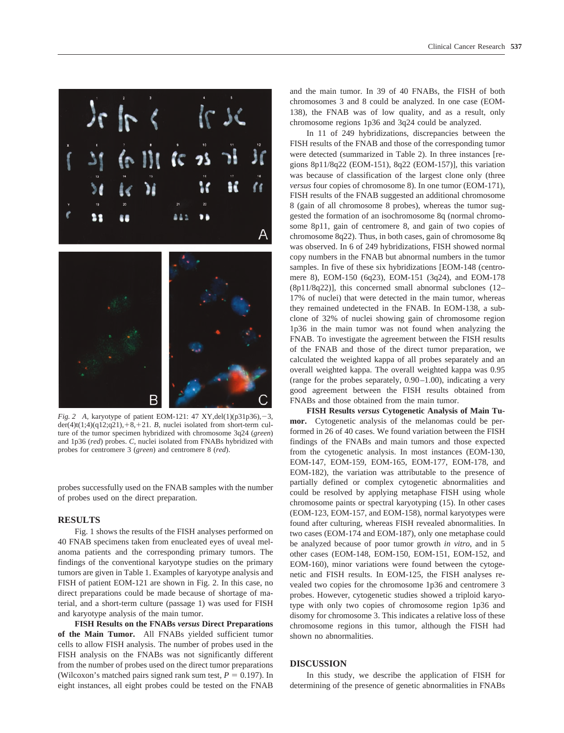



*Fig. 2* A, karyotype of patient EOM-121: 47 XY,del(1)(p31p36), -3,  $der(4)t(1;4)(q12;q21),+8,+21.$  *B*, nuclei isolated from short-term culture of the tumor specimen hybridized with chromosome 3q24 (*green*) and 1p36 (*red*) probes. *C,* nuclei isolated from FNABs hybridized with probes for centromere 3 (*green*) and centromere 8 (*red*).

probes successfully used on the FNAB samples with the number of probes used on the direct preparation.

#### **RESULTS**

Fig. 1 shows the results of the FISH analyses performed on 40 FNAB specimens taken from enucleated eyes of uveal melanoma patients and the corresponding primary tumors. The findings of the conventional karyotype studies on the primary tumors are given in Table 1. Examples of karyotype analysis and FISH of patient EOM-121 are shown in Fig. 2. In this case, no direct preparations could be made because of shortage of material, and a short-term culture (passage 1) was used for FISH and karyotype analysis of the main tumor.

**FISH Results on the FNABs** *versus* **Direct Preparations of the Main Tumor.** All FNABs yielded sufficient tumor cells to allow FISH analysis. The number of probes used in the FISH analysis on the FNABs was not significantly different from the number of probes used on the direct tumor preparations (Wilcoxon's matched pairs signed rank sum test,  $P = 0.197$ ). In eight instances, all eight probes could be tested on the FNAB

and the main tumor. In 39 of 40 FNABs, the FISH of both chromosomes 3 and 8 could be analyzed. In one case (EOM-138), the FNAB was of low quality, and as a result, only chromosome regions 1p36 and 3q24 could be analyzed.

In 11 of 249 hybridizations, discrepancies between the FISH results of the FNAB and those of the corresponding tumor were detected (summarized in Table 2). In three instances [regions 8p11/8q22 (EOM-151), 8q22 (EOM-157)], this variation was because of classification of the largest clone only (three *versus* four copies of chromosome 8). In one tumor (EOM-171), FISH results of the FNAB suggested an additional chromosome 8 (gain of all chromosome 8 probes), whereas the tumor suggested the formation of an isochromosome 8q (normal chromosome 8p11, gain of centromere 8, and gain of two copies of chromosome 8q22). Thus, in both cases, gain of chromosome 8q was observed. In 6 of 249 hybridizations, FISH showed normal copy numbers in the FNAB but abnormal numbers in the tumor samples. In five of these six hybridizations [EOM-148 (centromere 8), EOM-150 (6q23), EOM-151 (3q24), and EOM-178 (8p11/8q22)], this concerned small abnormal subclones (12– 17% of nuclei) that were detected in the main tumor, whereas they remained undetected in the FNAB. In EOM-138, a subclone of 32% of nuclei showing gain of chromosome region 1p36 in the main tumor was not found when analyzing the FNAB. To investigate the agreement between the FISH results of the FNAB and those of the direct tumor preparation, we calculated the weighted kappa of all probes separately and an overall weighted kappa. The overall weighted kappa was 0.95 (range for the probes separately, 0.90–1.00), indicating a very good agreement between the FISH results obtained from FNABs and those obtained from the main tumor.

**FISH Results** *versus* **Cytogenetic Analysis of Main Tumor.** Cytogenetic analysis of the melanomas could be performed in 26 of 40 cases. We found variation between the FISH findings of the FNABs and main tumors and those expected from the cytogenetic analysis. In most instances (EOM-130, EOM-147, EOM-159, EOM-165, EOM-177, EOM-178, and EOM-182), the variation was attributable to the presence of partially defined or complex cytogenetic abnormalities and could be resolved by applying metaphase FISH using whole chromosome paints or spectral karyotyping (15). In other cases (EOM-123, EOM-157, and EOM-158), normal karyotypes were found after culturing, whereas FISH revealed abnormalities. In two cases (EOM-174 and EOM-187), only one metaphase could be analyzed because of poor tumor growth *in vitro*, and in 5 other cases (EOM-148, EOM-150, EOM-151, EOM-152, and EOM-160), minor variations were found between the cytogenetic and FISH results. In EOM-125, the FISH analyses revealed two copies for the chromosome 1p36 and centromere 3 probes. However, cytogenetic studies showed a triploid karyotype with only two copies of chromosome region 1p36 and disomy for chromosome 3. This indicates a relative loss of these chromosome regions in this tumor, although the FISH had shown no abnormalities.

## **DISCUSSION**

In this study, we describe the application of FISH for determining of the presence of genetic abnormalities in FNABs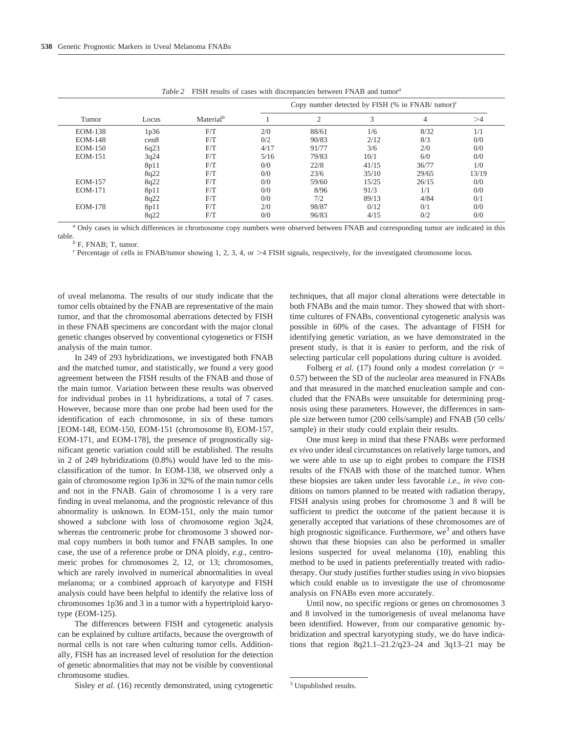|                | Locus            | Material <sup>b</sup> | Copy number detected by FISH (% in FNAB/ tumor) $c$ |                |       |                |       |
|----------------|------------------|-----------------------|-----------------------------------------------------|----------------|-------|----------------|-------|
| Tumor          |                  |                       |                                                     | $\overline{2}$ | 3     | $\overline{4}$ | >4    |
| <b>EOM-138</b> | 1p36             | F/T                   | 2/0                                                 | 88/61          | 1/6   | 8/32           | 1/1   |
| <b>EOM-148</b> | cen <sub>8</sub> | F/T                   | 0/2                                                 | 90/83          | 2/12  | 8/3            | 0/0   |
| <b>EOM-150</b> | 6q23             | F/T                   | 4/17                                                | 91/77          | 3/6   | 2/0            | 0/0   |
| <b>EOM-151</b> | 3q24             | F/T                   | 5/16                                                | 79/83          | 10/1  | 6/0            | 0/0   |
|                | 8p11             | F/T                   | 0/0                                                 | 22/8           | 41/15 | 36/77          | 1/0   |
|                | 8q22             | F/T                   | 0/0                                                 | 23/6           | 35/10 | 29/65          | 13/19 |
| <b>EOM-157</b> | 8q22             | F/T                   | 0/0                                                 | 59/60          | 15/25 | 26/15          | 0/0   |
| <b>EOM-171</b> | 8p11             | F/T                   | 0/0                                                 | 8/96           | 91/3  | 1/1            | 0/0   |
|                | 8q22             | F/T                   | 0/0                                                 | 7/2            | 89/13 | 4/84           | 0/1   |
| <b>EOM-178</b> | 8p11             | F/T                   | 2/0                                                 | 98/87          | 0/12  | 0/1            | 0/0   |
|                | 8q22             | F/T                   | 0/0                                                 | 96/83          | 4/15  | 0/2            | 0/0   |

*Table 2* FISH results of cases with discrepancies between FNAB and tumor*<sup>a</sup>*

*<sup>a</sup>* Only cases in which differences in chromosome copy numbers were observed between FNAB and corresponding tumor are indicated in this table.<br><sup>*b*</sup> F, FNAB; T, tumor.

<sup>c</sup> Percentage of cells in FNAB/tumor showing 1, 2, 3, 4, or >4 FISH signals, respectively, for the investigated chromosome locus.

of uveal melanoma. The results of our study indicate that the tumor cells obtained by the FNAB are representative of the main tumor, and that the chromosomal aberrations detected by FISH in these FNAB specimens are concordant with the major clonal genetic changes observed by conventional cytogenetics or FISH analysis of the main tumor.

In 249 of 293 hybridizations, we investigated both FNAB and the matched tumor, and statistically, we found a very good agreement between the FISH results of the FNAB and those of the main tumor. Variation between these results was observed for individual probes in 11 hybridizations, a total of 7 cases. However, because more than one probe had been used for the identification of each chromosome, in six of these tumors [EOM-148, EOM-150, EOM-151 (chromosome 8), EOM-157, EOM-171, and EOM-178], the presence of prognostically significant genetic variation could still be established. The results in 2 of 249 hybridizations (0.8%) would have led to the misclassification of the tumor. In EOM-138, we observed only a gain of chromosome region 1p36 in 32% of the main tumor cells and not in the FNAB. Gain of chromosome 1 is a very rare finding in uveal melanoma, and the prognostic relevance of this abnormality is unknown. In EOM-151, only the main tumor showed a subclone with loss of chromosome region 3q24, whereas the centromeric probe for chromosome 3 showed normal copy numbers in both tumor and FNAB samples. In one case, the use of a reference probe or DNA ploidy, *e.g.,* centromeric probes for chromosomes 2, 12, or 13; chromosomes, which are rarely involved in numerical abnormalities in uveal melanoma; or a combined approach of karyotype and FISH analysis could have been helpful to identify the relative loss of chromosomes 1p36 and 3 in a tumor with a hypertriploid karyotype (EOM-125).

The differences between FISH and cytogenetic analysis can be explained by culture artifacts, because the overgrowth of normal cells is not rare when culturing tumor cells. Additionally, FISH has an increased level of resolution for the detection of genetic abnormalities that may not be visible by conventional chromosome studies.

Sisley *et al.* (16) recently demonstrated, using cytogenetic

techniques, that all major clonal alterations were detectable in both FNABs and the main tumor. They showed that with shorttime cultures of FNABs, conventional cytogenetic analysis was possible in 60% of the cases. The advantage of FISH for identifying genetic variation, as we have demonstrated in the present study, is that it is easier to perform, and the risk of selecting particular cell populations during culture is avoided.

Folberg *et al.* (17) found only a modest correlation (*r* 0.57) between the SD of the nucleolar area measured in FNABs and that measured in the matched enucleation sample and concluded that the FNABs were unsuitable for determining prognosis using these parameters. However, the differences in sample size between tumor (200 cells/sample) and FNAB (50 cells/ sample) in their study could explain their results.

One must keep in mind that these FNABs were performed *ex vivo* under ideal circumstances on relatively large tumors, and we were able to use up to eight probes to compare the FISH results of the FNAB with those of the matched tumor. When these biopsies are taken under less favorable *i.e., in vivo* conditions on tumors planned to be treated with radiation therapy, FISH analysis using probes for chromosome 3 and 8 will be sufficient to predict the outcome of the patient because it is generally accepted that variations of these chromosomes are of high prognostic significance. Furthermore,  $we<sup>3</sup>$  and others have shown that these biopsies can also be performed in smaller lesions suspected for uveal melanoma (10), enabling this method to be used in patients preferentially treated with radiotherapy. Our study justifies further studies using *in vivo* biopsies which could enable us to investigate the use of chromosome analysis on FNABs even more accurately.

Until now, no specific regions or genes on chromosomes 3 and 8 involved in the tumorigenesis of uveal melanoma have been identified. However, from our comparative genomic hybridization and spectral karyotyping study, we do have indications that region  $8q21.1 - 21.2/q23 - 24$  and  $3q13 - 21$  may be

<sup>&</sup>lt;sup>3</sup> Unpublished results.